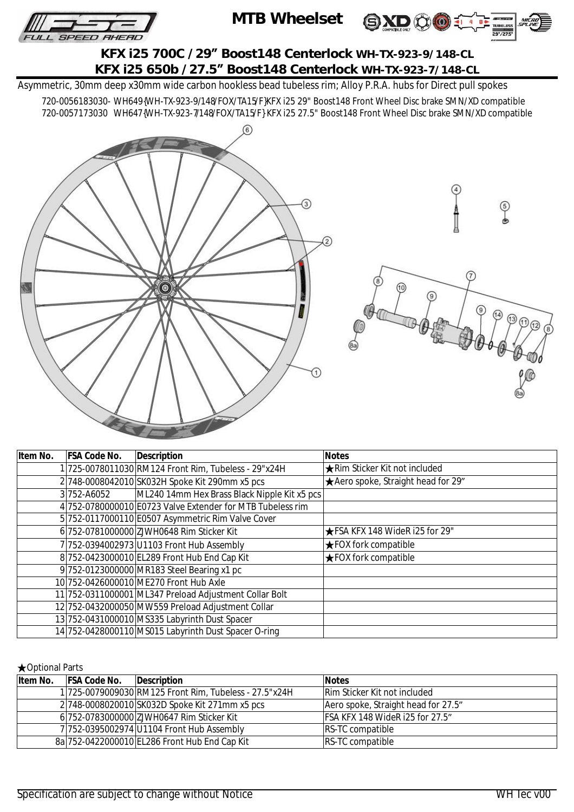





**KFX i25 700C /29" Boost148 Centerlock WH-TX-923-9/148-CL KFX i25 650b /27.5" Boost148 Centerlock WH-TX-923-7/148-CL** 

Asymmetric, 30mm deep x30mm wide carbon hookless bead tubeless rim; Alloy P.R.A. hubs for Direct pull spokes

720-0056183030- WH649{WH-TX-923-9/148/FOX/TA15/F}KFX i25 29" Boost148 Front Wheel Disc brake SMN/XD compatible 720-0057173030 WH647{WH-TX-923-7/148/FOX/TA15/F} KFX i25 27.5" Boost148 Front Wheel Disc brake SMN/XD compatible



| Item No. | <b>FSA Code No.</b> | <b>Description</b>                                         | <b>Notes</b>                         |
|----------|---------------------|------------------------------------------------------------|--------------------------------------|
|          |                     | 1 725-0078011030 RM124 Front Rim, Tubeless - 29"x24H       | <b>★Rim Sticker Kit not included</b> |
|          |                     | 2 748-0008042010 SK032H Spoke Kit 290mm x5 pcs             | ★ Aero spoke, Straight head for 29"  |
|          | 3752-A6052          | ML240 14mm Hex Brass Black Nipple Kit x5 pcs               |                                      |
|          |                     | 4 752-0780000010 E0723 Valve Extender for MTB Tubeless rim |                                      |
|          |                     | 5 752-0117000110 E0507 Asymmetric Rim Valve Cover          |                                      |
|          |                     | 6 752-0781000000 ZJWH0648 Rim Sticker Kit                  | ★FSA KFX 148 WideR i25 for 29"       |
|          |                     | 7 752-0394002973 U1103 Front Hub Assembly                  | <b>★FOX fork compatible</b>          |
|          |                     | 8752-0423000010 EL289 Front Hub End Cap Kit                | $\bigstar$ FOX fork compatible       |
|          |                     | 9 752-0123000000 MR183 Steel Bearing x1 pc                 |                                      |
|          |                     | 10 752-0426000010 ME270 Front Hub Axle                     |                                      |
|          |                     | 11 752-0311000001 ML347 Preload Adjustment Collar Bolt     |                                      |
|          |                     | 12 752-0432000050 MW559 Preload Adjustment Collar          |                                      |
|          |                     | 13 752-0431000010 MS335 Labyrinth Dust Spacer              |                                      |
|          |                     | 14 752-0428000110 MS015 Labyrinth Dust Spacer O-ring       |                                      |

## ★Optional Parts

| Item No. | <b>FSA Code No.</b> | <b>IDescription</b>                                    | <b>Notes</b>                        |
|----------|---------------------|--------------------------------------------------------|-------------------------------------|
|          |                     | 1 725-0079009030 RM125 Front Rim, Tubeless - 27.5"x24H | <b>Rim Sticker Kit not included</b> |
|          |                     | 2748-0008020010 SK032D Spoke Kit 271mm x5 pcs          | Aero spoke, Straight head for 27.5" |
|          |                     | 6 752-0783000000 ZJWH0647 Rim Sticker Kit              | IFSA KFX 148 WideR i25 for 27.5"    |
|          |                     | 7 752-0395002974 U1104 Front Hub Assembly              | <b>RS-TC compatible</b>             |
|          |                     | 8a 752-0422000010 EL286 Front Hub End Cap Kit          | <b>RS-TC compatible</b>             |